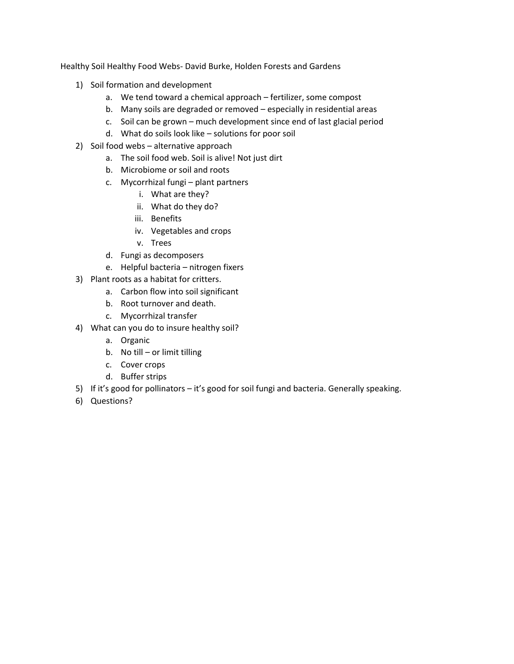Healthy Soil Healthy Food Webs- David Burke, Holden Forests and Gardens

- 1) Soil formation and development
	- a. We tend toward a chemical approach fertilizer, some compost
	- b. Many soils are degraded or removed especially in residential areas
	- c. Soil can be grown much development since end of last glacial period
	- d. What do soils look like solutions for poor soil
- 2) Soil food webs alternative approach
	- a. The soil food web. Soil is alive! Not just dirt
	- b. Microbiome or soil and roots
	- c. Mycorrhizal fungi plant partners
		- i. What are they?
		- ii. What do they do?
		- iii. Benefits
		- iv. Vegetables and crops
		- v. Trees
	- d. Fungi as decomposers
	- e. Helpful bacteria nitrogen fixers
- 3) Plant roots as a habitat for critters.
	- a. Carbon flow into soil significant
	- b. Root turnover and death.
	- c. Mycorrhizal transfer
- 4) What can you do to insure healthy soil?
	- a. Organic
	- b. No till or limit tilling
	- c. Cover crops
	- d. Buffer strips
- 5) If it's good for pollinators it's good for soil fungi and bacteria. Generally speaking.
- 6) Questions?